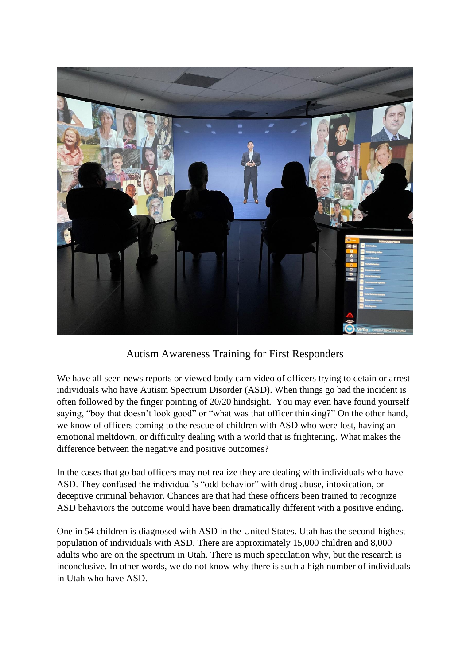

Autism Awareness Training for First Responders

We have all seen news reports or viewed body cam video of officers trying to detain or arrest individuals who have Autism Spectrum Disorder (ASD). When things go bad the incident is often followed by the finger pointing of 20/20 hindsight. You may even have found yourself saying, "boy that doesn't look good" or "what was that officer thinking?" On the other hand, we know of officers coming to the rescue of children with ASD who were lost, having an emotional meltdown, or difficulty dealing with a world that is frightening. What makes the difference between the negative and positive outcomes?

In the cases that go bad officers may not realize they are dealing with individuals who have ASD. They confused the individual's "odd behavior" with drug abuse, intoxication, or deceptive criminal behavior. Chances are that had these officers been trained to recognize ASD behaviors the outcome would have been dramatically different with a positive ending.

One in 54 children is diagnosed with ASD in the United States. Utah has the second-highest population of individuals with ASD. There are approximately 15,000 children and 8,000 adults who are on the spectrum in Utah. There is much speculation why, but the research is inconclusive. In other words, we do not know why there is such a high number of individuals in Utah who have ASD.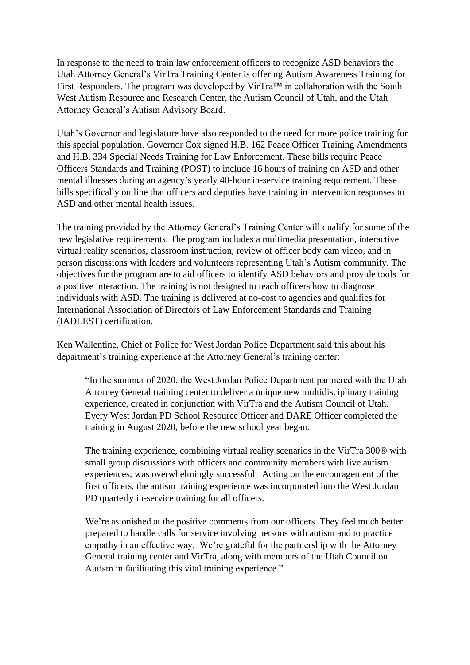In response to the need to train law enforcement officers to recognize ASD behaviors the Utah Attorney General's VirTra Training Center is offering Autism Awareness Training for First Responders. The program was developed by VirTra™ in collaboration with the South West Autism Resource and Research Center, the Autism Council of Utah, and the Utah Attorney General's Autism Advisory Board.

Utah's Governor and legislature have also responded to the need for more police training for this special population. Governor Cox signed H.B. 162 Peace Officer Training Amendments and H.B. 334 Special Needs Training for Law Enforcement. These bills require Peace Officers Standards and Training (POST) to include 16 hours of training on ASD and other mental illnesses during an agency's yearly 40-hour in-service training requirement. These bills specifically outline that officers and deputies have training in intervention responses to ASD and other mental health issues.

The training provided by the Attorney General's Training Center will qualify for some of the new legislative requirements. The program includes a multimedia presentation, interactive virtual reality scenarios, classroom instruction, review of officer body cam video, and in person discussions with leaders and volunteers representing Utah's Autism community. The objectives for the program are to aid officers to identify ASD behaviors and provide tools for a positive interaction. The training is not designed to teach officers how to diagnose individuals with ASD. The training is delivered at no-cost to agencies and qualifies for International Association of Directors of Law Enforcement Standards and Training (IADLEST) certification.

Ken Wallentine, Chief of Police for West Jordan Police Department said this about his department's training experience at the Attorney General's training center:

"In the summer of 2020, the West Jordan Police Department partnered with the Utah Attorney General training center to deliver a unique new multidisciplinary training experience, created in conjunction with VirTra and the Autism Council of Utah. Every West Jordan PD School Resource Officer and DARE Officer completed the training in August 2020, before the new school year began.

The training experience, combining virtual reality scenarios in the VirTra 300® with small group discussions with officers and community members with live autism experiences, was overwhelmingly successful. Acting on the encouragement of the first officers, the autism training experience was incorporated into the West Jordan PD quarterly in-service training for all officers.

We're astonished at the positive comments from our officers. They feel much better prepared to handle calls for service involving persons with autism and to practice empathy in an effective way. We're grateful for the partnership with the Attorney General training center and VirTra, along with members of the Utah Council on Autism in facilitating this vital training experience."